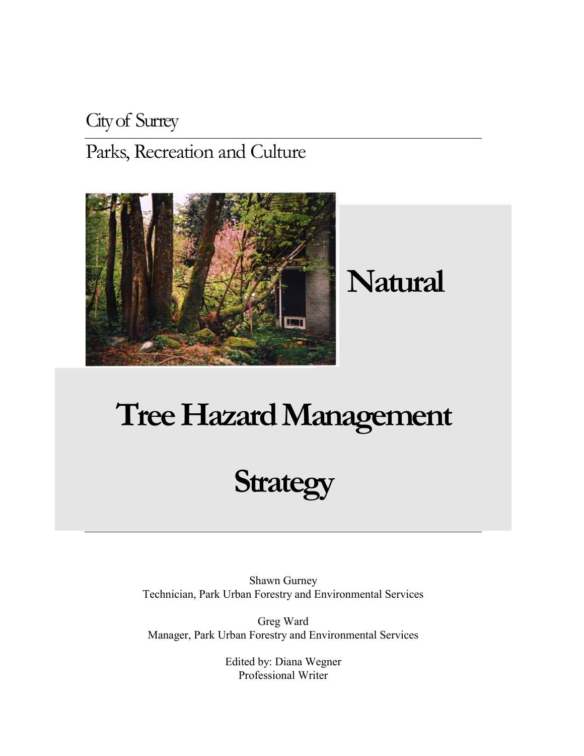## City of Surrey Parks, Recreation and Culture



# **Natural**

# **Tree Hazard Management**

# **Strategy**

Shawn Gurney Technician, Park Urban Forestry and Environmental Services

Greg Ward Manager, Park Urban Forestry and Environmental Services

> Edited by: Diana Wegner Professional Writer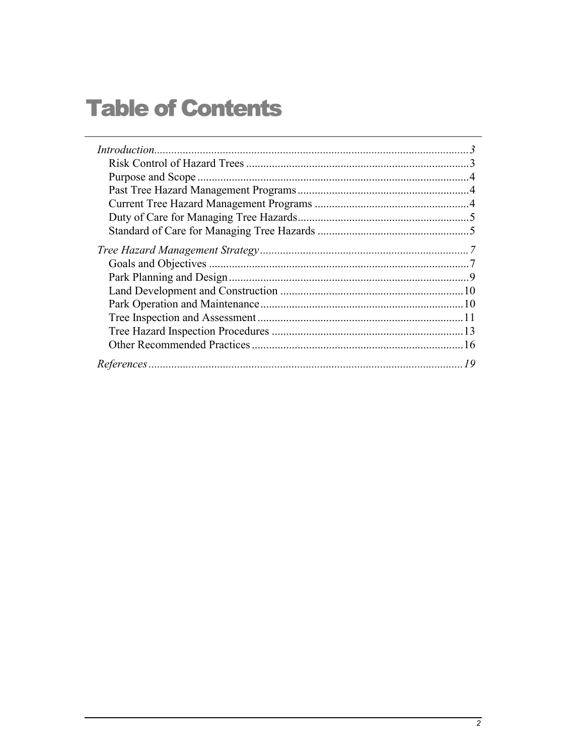## **Table of Contents**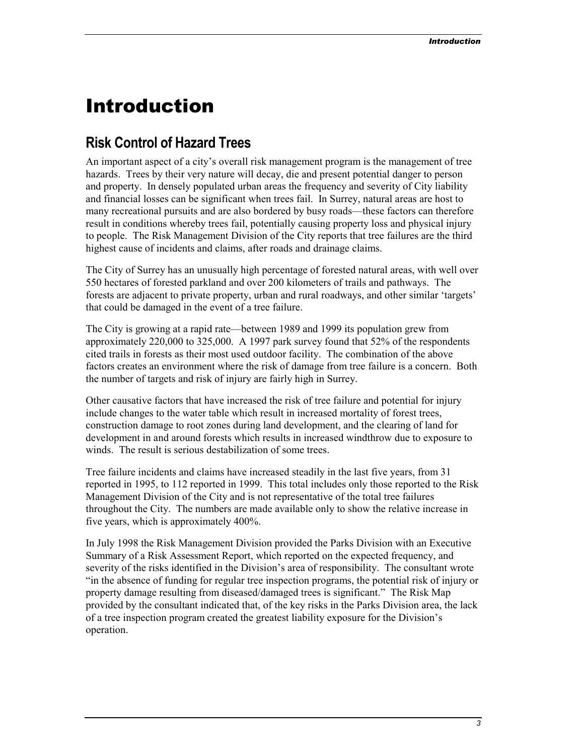## <span id="page-2-0"></span>Introduction

## **Risk Control of Hazard Trees**

An important aspect of a city's overall risk management program is the management of tree hazards. Trees by their very nature will decay, die and present potential danger to person and property. In densely populated urban areas the frequency and severity of City liability and financial losses can be significant when trees fail. In Surrey, natural areas are host to many recreational pursuits and are also bordered by busy roads—these factors can therefore result in conditions whereby trees fail, potentially causing property loss and physical injury to people. The Risk Management Division of the City reports that tree failures are the third highest cause of incidents and claims, after roads and drainage claims.

The City of Surrey has an unusually high percentage of forested natural areas, with well over 550 hectares of forested parkland and over 200 kilometers of trails and pathways. The forests are adjacent to private property, urban and rural roadways, and other similar 'targets' that could be damaged in the event of a tree failure.

The City is growing at a rapid rate—between 1989 and 1999 its population grew from approximately 220,000 to 325,000. A 1997 park survey found that 52% of the respondents cited trails in forests as their most used outdoor facility. The combination of the above factors creates an environment where the risk of damage from tree failure is a concern. Both the number of targets and risk of injury are fairly high in Surrey.

Other causative factors that have increased the risk of tree failure and potential for injury include changes to the water table which result in increased mortality of forest trees, construction damage to root zones during land development, and the clearing of land for development in and around forests which results in increased windthrow due to exposure to winds. The result is serious destabilization of some trees.

Tree failure incidents and claims have increased steadily in the last five years, from 31 reported in 1995, to 112 reported in 1999. This total includes only those reported to the Risk Management Division of the City and is not representative of the total tree failures throughout the City. The numbers are made available only to show the relative increase in five years, which is approximately 400%.

In July 1998 the Risk Management Division provided the Parks Division with an Executive Summary of a Risk Assessment Report, which reported on the expected frequency, and severity of the risks identified in the Division's area of responsibility. The consultant wrote "in the absence of funding for regular tree inspection programs, the potential risk of injury or property damage resulting from diseased/damaged trees is significant." The Risk Map provided by the consultant indicated that, of the key risks in the Parks Division area, the lack of a tree inspection program created the greatest liability exposure for the Division's operation.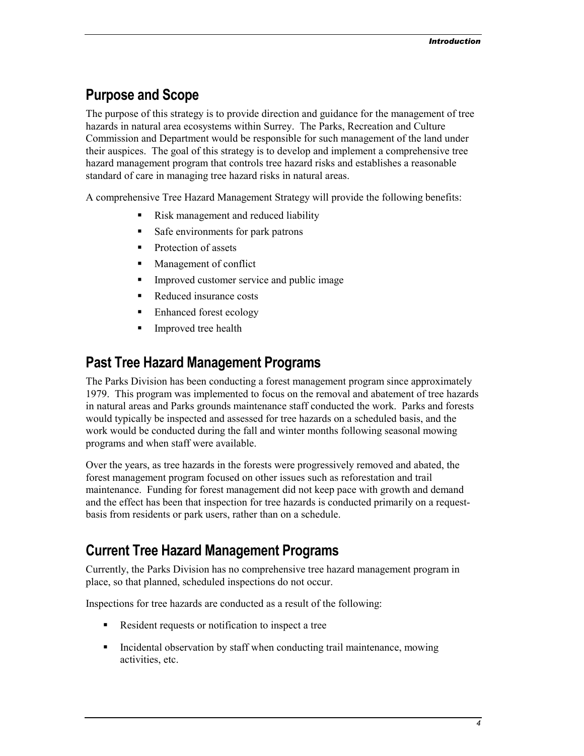## <span id="page-3-0"></span>**Purpose and Scope**

The purpose of this strategy is to provide direction and guidance for the management of tree hazards in natural area ecosystems within Surrey. The Parks, Recreation and Culture Commission and Department would be responsible for such management of the land under their auspices. The goal of this strategy is to develop and implement a comprehensive tree hazard management program that controls tree hazard risks and establishes a reasonable standard of care in managing tree hazard risks in natural areas.

A comprehensive Tree Hazard Management Strategy will provide the following benefits:

- -Risk management and reduced liability
- -Safe environments for park patrons
- -Protection of assets
- -Management of conflict
- -Improved customer service and public image
- -Reduced insurance costs
- -Enhanced forest ecology
- -Improved tree health

## **Past Tree Hazard Management Programs**

The Parks Division has been conducting a forest management program since approximately 1979. This program was implemented to focus on the removal and abatement of tree hazards in natural areas and Parks grounds maintenance staff conducted the work. Parks and forests would typically be inspected and assessed for tree hazards on a scheduled basis, and the work would be conducted during the fall and winter months following seasonal mowing programs and when staff were available.

Over the years, as tree hazards in the forests were progressively removed and abated, the forest management program focused on other issues such as reforestation and trail maintenance. Funding for forest management did not keep pace with growth and demand and the effect has been that inspection for tree hazards is conducted primarily on a requestbasis from residents or park users, rather than on a schedule.

## **Current Tree Hazard Management Programs**

Currently, the Parks Division has no comprehensive tree hazard management program in place, so that planned, scheduled inspections do not occur.

Inspections for tree hazards are conducted as a result of the following:

- **•** Resident requests or notification to inspect a tree
- Incidental observation by staff when conducting trail maintenance, mowing activities, etc.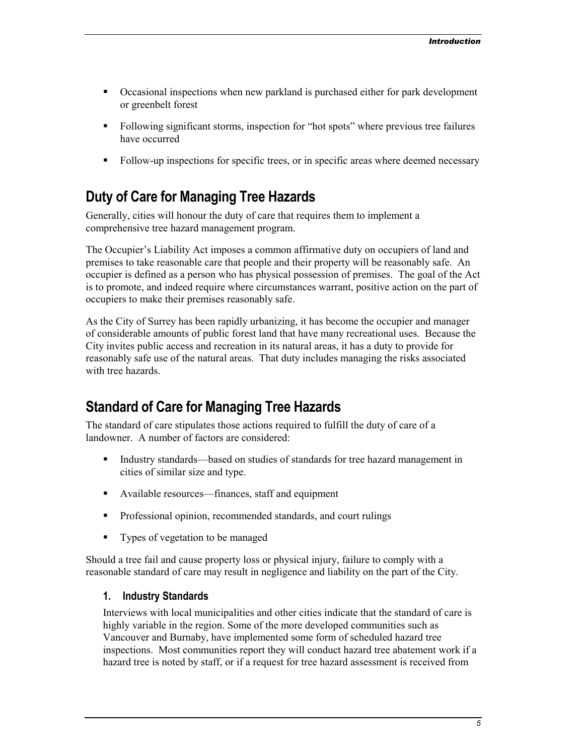- <span id="page-4-0"></span>- Occasional inspections when new parkland is purchased either for park development or greenbelt forest
- Following significant storms, inspection for "hot spots" where previous tree failures have occurred
- Follow-up inspections for specific trees, or in specific areas where deemed necessary

## **Duty of Care for Managing Tree Hazards**

Generally, cities will honour the duty of care that requires them to implement a comprehensive tree hazard management program.

The Occupier's Liability Act imposes a common affirmative duty on occupiers of land and premises to take reasonable care that people and their property will be reasonably safe. An occupier is defined as a person who has physical possession of premises. The goal of the Act is to promote, and indeed require where circumstances warrant, positive action on the part of occupiers to make their premises reasonably safe.

As the City of Surrey has been rapidly urbanizing, it has become the occupier and manager of considerable amounts of public forest land that have many recreational uses. Because the City invites public access and recreation in its natural areas, it has a duty to provide for reasonably safe use of the natural areas. That duty includes managing the risks associated with tree hazards.

## **Standard of Care for Managing Tree Hazards**

The standard of care stipulates those actions required to fulfill the duty of care of a landowner. A number of factors are considered:

- - Industry standards—based on studies of standards for tree hazard management in cities of similar size and type.
- Available resources—finances, staff and equipment
- Professional opinion, recommended standards, and court rulings
- Types of vegetation to be managed

Should a tree fail and cause property loss or physical injury, failure to comply with a reasonable standard of care may result in negligence and liability on the part of the City.

#### **1. Industry Standards**

Interviews with local municipalities and other cities indicate that the standard of care is highly variable in the region. Some of the more developed communities such as Vancouver and Burnaby, have implemented some form of scheduled hazard tree inspections. Most communities report they will conduct hazard tree abatement work if a hazard tree is noted by staff, or if a request for tree hazard assessment is received from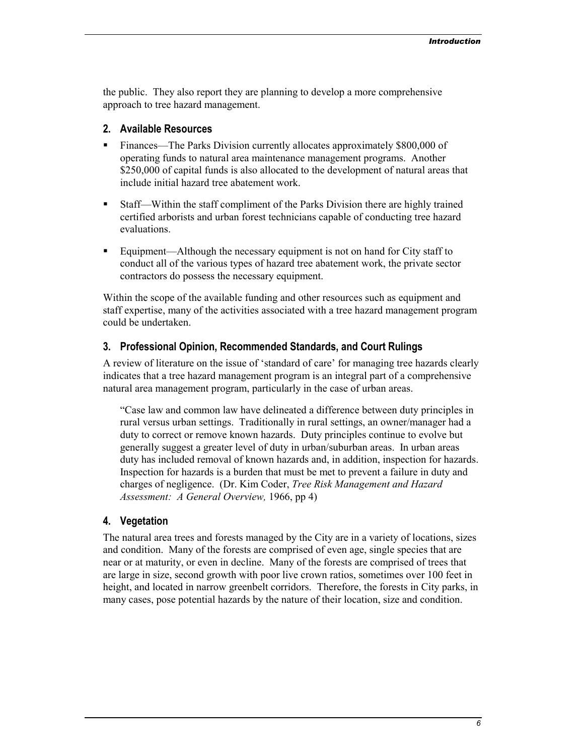the public. They also report they are planning to develop a more comprehensive approach to tree hazard management.

#### **2. Available Resources**

- Finances—The Parks Division currently allocates approximately \$800,000 of operating funds to natural area maintenance management programs. Another \$250,000 of capital funds is also allocated to the development of natural areas that include initial hazard tree abatement work.
- - Staff—Within the staff compliment of the Parks Division there are highly trained certified arborists and urban forest technicians capable of conducting tree hazard evaluations.
- Equipment—Although the necessary equipment is not on hand for City staff to conduct all of the various types of hazard tree abatement work, the private sector contractors do possess the necessary equipment.

Within the scope of the available funding and other resources such as equipment and staff expertise, many of the activities associated with a tree hazard management program could be undertaken.

## **3. Professional Opinion, Recommended Standards, and Court Rulings**

A review of literature on the issue of 'standard of care' for managing tree hazards clearly indicates that a tree hazard management program is an integral part of a comprehensive natural area management program, particularly in the case of urban areas.

"Case law and common law have delineated a difference between duty principles in rural versus urban settings. Traditionally in rural settings, an owner/manager had a duty to correct or remove known hazards. Duty principles continue to evolve but generally suggest a greater level of duty in urban/suburban areas. In urban areas duty has included removal of known hazards and, in addition, inspection for hazards. Inspection for hazards is a burden that must be met to prevent a failure in duty and charges of negligence. (Dr. Kim Coder, *Tree Risk Management and Hazard Assessment: A General Overview,* 1966, pp 4)

#### **4. Vegetation**

The natural area trees and forests managed by the City are in a variety of locations, sizes and condition. Many of the forests are comprised of even age, single species that are near or at maturity, or even in decline. Many of the forests are comprised of trees that are large in size, second growth with poor live crown ratios, sometimes over 100 feet in height, and located in narrow greenbelt corridors. Therefore, the forests in City parks, in many cases, pose potential hazards by the nature of their location, size and condition.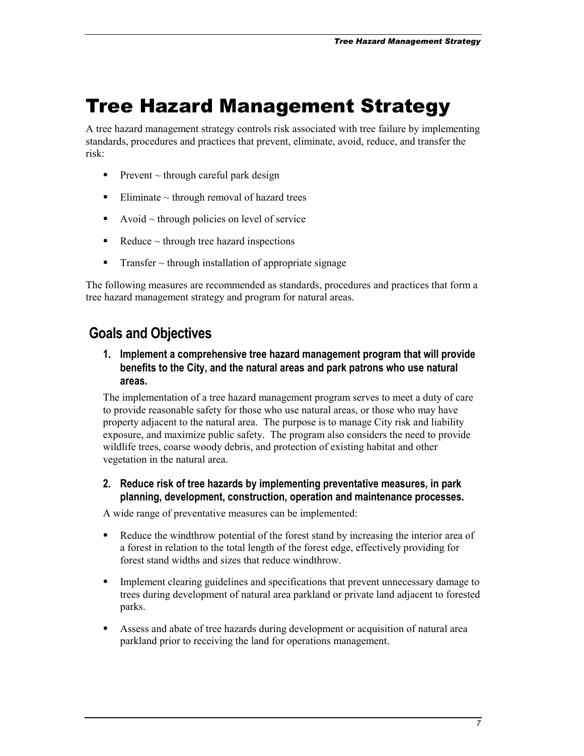## <span id="page-6-0"></span>Tree Hazard Management Strategy

A tree hazard management strategy controls risk associated with tree failure by implementing standards, procedures and practices that prevent, eliminate, avoid, reduce, and transfer the risk:

- Prevent  $\sim$  through careful park design
- $\blacksquare$  Eliminate ~ through removal of hazard trees
- $\blacksquare$  Avoid ~ through policies on level of service
- $\blacksquare$  Reduce ~ through tree hazard inspections
- -Transfer  $\sim$  through installation of appropriate signage

The following measures are recommended as standards, procedures and practices that form a tree hazard management strategy and program for natural areas.

## **Goals and Objectives**

**1. Implement a comprehensive tree hazard management program that will provide benefits to the City, and the natural areas and park patrons who use natural areas.** 

The implementation of a tree hazard management program serves to meet a duty of care to provide reasonable safety for those who use natural areas, or those who may have property adjacent to the natural area. The purpose is to manage City risk and liability exposure, and maximize public safety. The program also considers the need to provide wildlife trees, coarse woody debris, and protection of existing habitat and other vegetation in the natural area.

**2. Reduce risk of tree hazards by implementing preventative measures, in park planning, development, construction, operation and maintenance processes.** 

A wide range of preventative measures can be implemented:

- - Reduce the windthrow potential of the forest stand by increasing the interior area of a forest in relation to the total length of the forest edge, effectively providing for forest stand widths and sizes that reduce windthrow.
- - Implement clearing guidelines and specifications that prevent unnecessary damage to trees during development of natural area parkland or private land adjacent to forested parks.
- **EXECUTE:** Assess and abate of tree hazards during development or acquisition of natural area parkland prior to receiving the land for operations management.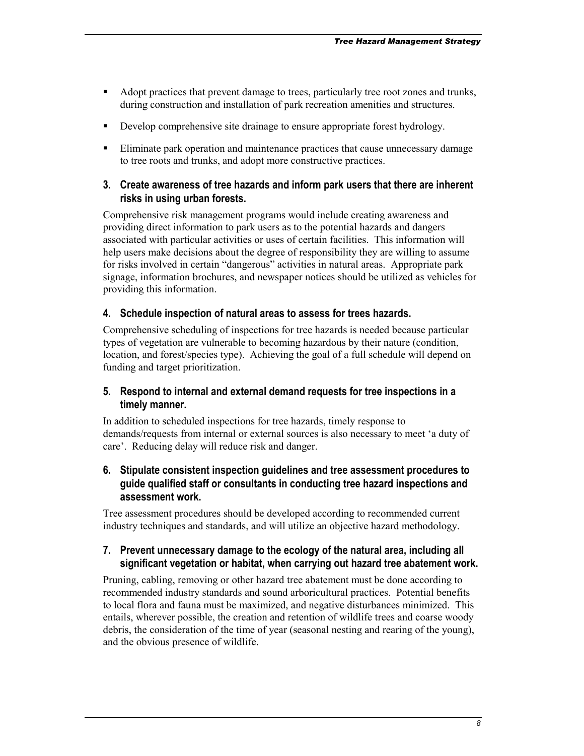- Adopt practices that prevent damage to trees, particularly tree root zones and trunks, during construction and installation of park recreation amenities and structures.
- -Develop comprehensive site drainage to ensure appropriate forest hydrology.
- **Eliminate park operation and maintenance practices that cause unnecessary damage** to tree roots and trunks, and adopt more constructive practices.

### **3. Create awareness of tree hazards and inform park users that there are inherent risks in using urban forests.**

Comprehensive risk management programs would include creating awareness and providing direct information to park users as to the potential hazards and dangers associated with particular activities or uses of certain facilities. This information will help users make decisions about the degree of responsibility they are willing to assume for risks involved in certain "dangerous" activities in natural areas. Appropriate park signage, information brochures, and newspaper notices should be utilized as vehicles for providing this information.

## **4. Schedule inspection of natural areas to assess for trees hazards.**

Comprehensive scheduling of inspections for tree hazards is needed because particular types of vegetation are vulnerable to becoming hazardous by their nature (condition, location, and forest/species type). Achieving the goal of a full schedule will depend on funding and target prioritization.

## **5. Respond to internal and external demand requests for tree inspections in a timely manner.**

In addition to scheduled inspections for tree hazards, timely response to demands/requests from internal or external sources is also necessary to meet 'a duty of care'. Reducing delay will reduce risk and danger.

## **6. Stipulate consistent inspection guidelines and tree assessment procedures to guide qualified staff or consultants in conducting tree hazard inspections and assessment work.**

Tree assessment procedures should be developed according to recommended current industry techniques and standards, and will utilize an objective hazard methodology.

## **7. Prevent unnecessary damage to the ecology of the natural area, including all significant vegetation or habitat, when carrying out hazard tree abatement work.**

Pruning, cabling, removing or other hazard tree abatement must be done according to recommended industry standards and sound arboricultural practices. Potential benefits to local flora and fauna must be maximized, and negative disturbances minimized. This entails, wherever possible, the creation and retention of wildlife trees and coarse woody debris, the consideration of the time of year (seasonal nesting and rearing of the young), and the obvious presence of wildlife.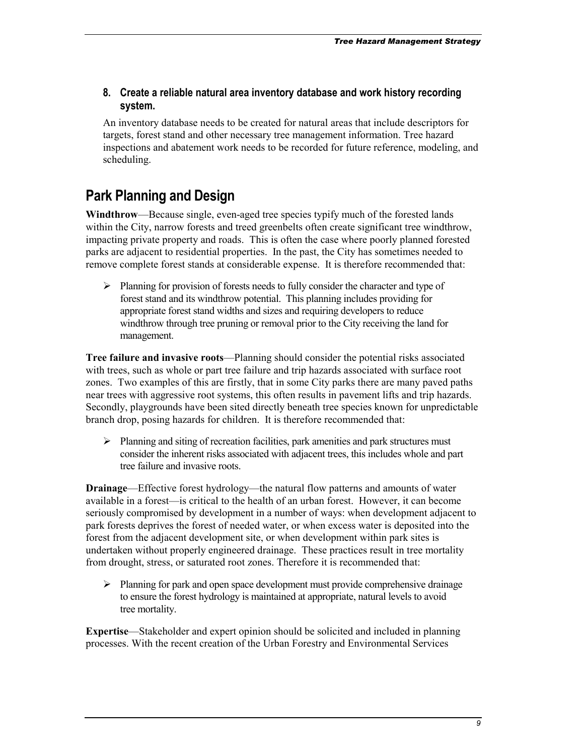<span id="page-8-0"></span>**8. Create a reliable natural area inventory database and work history recording system.** 

An inventory database needs to be created for natural areas that include descriptors for targets, forest stand and other necessary tree management information. Tree hazard inspections and abatement work needs to be recorded for future reference, modeling, and scheduling.

## **Park Planning and Design**

**Windthrow**—Because single, even-aged tree species typify much of the forested lands within the City, narrow forests and treed greenbelts often create significant tree windthrow, impacting private property and roads. This is often the case where poorly planned forested parks are adjacent to residential properties. In the past, the City has sometimes needed to remove complete forest stands at considerable expense. It is therefore recommended that:

> Planning for provision of forests needs to fully consider the character and type of forest stand and its windthrow potential. This planning includes providing for appropriate forest stand widths and sizes and requiring developers to reduce windthrow through tree pruning or removal prior to the City receiving the land for management.

**Tree failure and invasive roots**—Planning should consider the potential risks associated with trees, such as whole or part tree failure and trip hazards associated with surface root zones. Two examples of this are firstly, that in some City parks there are many paved paths near trees with aggressive root systems, this often results in pavement lifts and trip hazards. Secondly, playgrounds have been sited directly beneath tree species known for unpredictable branch drop, posing hazards for children. It is therefore recommended that:

> Planning and siting of recreation facilities, park amenities and park structures must consider the inherent risks associated with adjacent trees, this includes whole and part tree failure and invasive roots.

**Drainage**—Effective forest hydrology—the natural flow patterns and amounts of water available in a forest—is critical to the health of an urban forest. However, it can become seriously compromised by development in a number of ways: when development adjacent to park forests deprives the forest of needed water, or when excess water is deposited into the forest from the adjacent development site, or when development within park sites is undertaken without properly engineered drainage. These practices result in tree mortality from drought, stress, or saturated root zones. Therefore it is recommended that:

> Planning for park and open space development must provide comprehensive drainage to ensure the forest hydrology is maintained at appropriate, natural levels to avoid tree mortality.

**Expertise**—Stakeholder and expert opinion should be solicited and included in planning processes. With the recent creation of the Urban Forestry and Environmental Services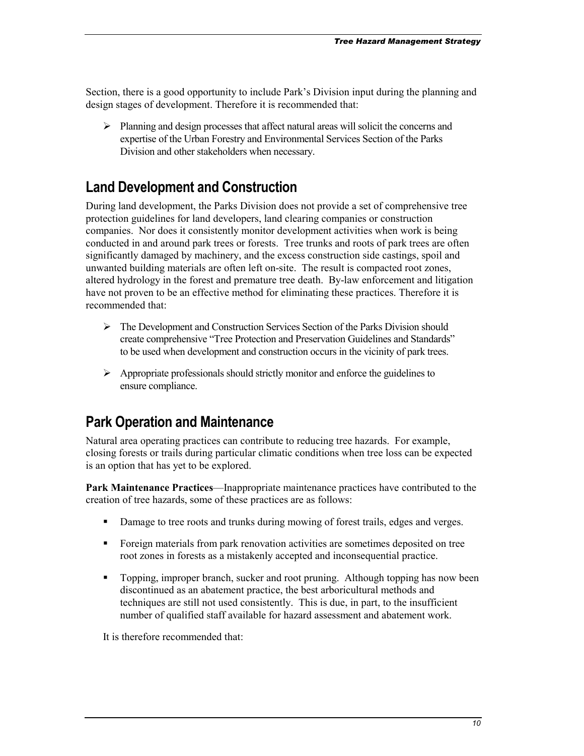<span id="page-9-0"></span>Section, there is a good opportunity to include Park's Division input during the planning and design stages of development. Therefore it is recommended that:

> Planning and design processes that affect natural areas will solicit the concerns and expertise of the Urban Forestry and Environmental Services Section of the Parks Division and other stakeholders when necessary.

## **Land Development and Construction**

During land development, the Parks Division does not provide a set of comprehensive tree protection guidelines for land developers, land clearing companies or construction companies. Nor does it consistently monitor development activities when work is being conducted in and around park trees or forests. Tree trunks and roots of park trees are often significantly damaged by machinery, and the excess construction side castings, spoil and unwanted building materials are often left on-site. The result is compacted root zones, altered hydrology in the forest and premature tree death. By-law enforcement and litigation have not proven to be an effective method for eliminating these practices. Therefore it is recommended that:

- > The Development and Construction Services Section of the Parks Division should create comprehensive "Tree Protection and Preservation Guidelines and Standards" to be used when development and construction occurs in the vicinity of park trees.
- > Appropriate professionals should strictly monitor and enforce the guidelines to ensure compliance.

## **Park Operation and Maintenance**

Natural area operating practices can contribute to reducing tree hazards. For example, closing forests or trails during particular climatic conditions when tree loss can be expected is an option that has yet to be explored.

**Park Maintenance Practices**—Inappropriate maintenance practices have contributed to the creation of tree hazards, some of these practices are as follows:

- Damage to tree roots and trunks during mowing of forest trails, edges and verges.
- Foreign materials from park renovation activities are sometimes deposited on tree root zones in forests as a mistakenly accepted and inconsequential practice.
- Topping, improper branch, sucker and root pruning. Although topping has now been discontinued as an abatement practice, the best arboricultural methods and techniques are still not used consistently. This is due, in part, to the insufficient number of qualified staff available for hazard assessment and abatement work.

It is therefore recommended that: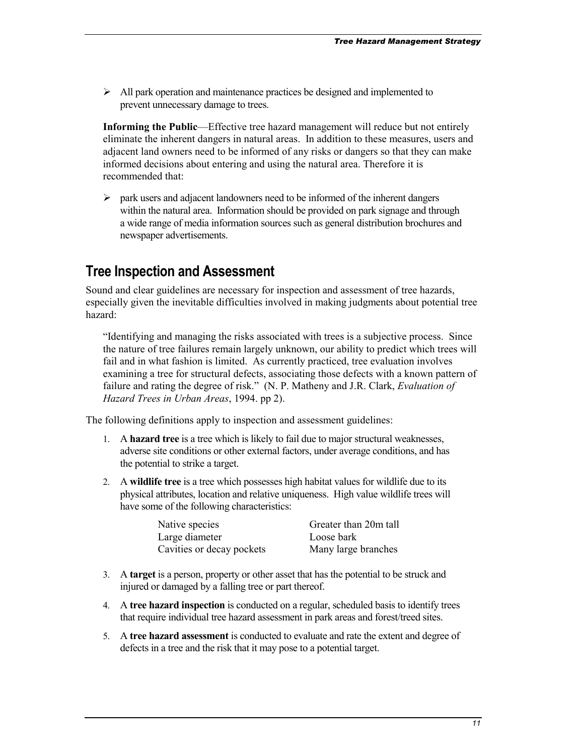<span id="page-10-0"></span>> All park operation and maintenance practices be designed and implemented to prevent unnecessary damage to trees.

**Informing the Public**—Effective tree hazard management will reduce but not entirely eliminate the inherent dangers in natural areas. In addition to these measures, users and adjacent land owners need to be informed of any risks or dangers so that they can make informed decisions about entering and using the natural area. Therefore it is recommended that:

-park users and adjacent landowners need to be informed of the inherent dangers within the natural area. Information should be provided on park signage and through a wide range of media information sources such as general distribution brochures and newspaper advertisements.

## **Tree Inspection and Assessment**

Sound and clear guidelines are necessary for inspection and assessment of tree hazards, especially given the inevitable difficulties involved in making judgments about potential tree hazard:

"Identifying and managing the risks associated with trees is a subjective process. Since the nature of tree failures remain largely unknown, our ability to predict which trees will fail and in what fashion is limited. As currently practiced, tree evaluation involves examining a tree for structural defects, associating those defects with a known pattern of failure and rating the degree of risk." (N. P. Matheny and J.R. Clark, *Evaluation of Hazard Trees in Urban Areas*, 1994. pp 2).

The following definitions apply to inspection and assessment guidelines:

- 1. A **hazard tree** is a tree which is likely to fail due to major structural weaknesses, adverse site conditions or other external factors, under average conditions, and has the potential to strike a target.
- 2. A **wildlife tree** is a tree which possesses high habitat values for wildlife due to its physical attributes, location and relative uniqueness. High value wildlife trees will have some of the following characteristics:

| Native species            | Greater than 20m tall |
|---------------------------|-----------------------|
| Large diameter            | Loose bark            |
| Cavities or decay pockets | Many large branches   |

- 3. A **target** is a person, property or other asset that has the potential to be struck and injured or damaged by a falling tree or part thereof.
- 4. A **tree hazard inspection** is conducted on a regular, scheduled basis to identify trees that require individual tree hazard assessment in park areas and forest/treed sites.
- 5. A **tree hazard assessment** is conducted to evaluate and rate the extent and degree of defects in a tree and the risk that it may pose to a potential target.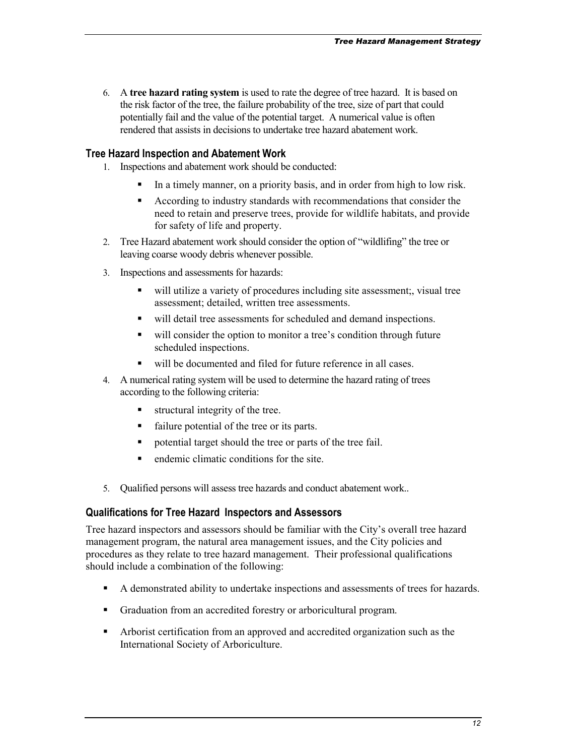6. A **tree hazard rating system** is used to rate the degree of tree hazard. It is based on the risk factor of the tree, the failure probability of the tree, size of part that could potentially fail and the value of the potential target. A numerical value is often rendered that assists in decisions to undertake tree hazard abatement work.

### **Tree Hazard Inspection and Abatement Work**

- 1. Inspections and abatement work should be conducted:
	- -In a timely manner, on a priority basis, and in order from high to low risk.
	- - According to industry standards with recommendations that consider the need to retain and preserve trees, provide for wildlife habitats, and provide for safety of life and property.
- 2. Tree Hazard abatement work should consider the option of "wildlifing" the tree or leaving coarse woody debris whenever possible.
- 3. Inspections and assessments for hazards:
	- will utilize a variety of procedures including site assessment; visual tree assessment; detailed, written tree assessments.
	- will detail tree assessments for scheduled and demand inspections.
	- will consider the option to monitor a tree's condition through future scheduled inspections.
	- will be documented and filed for future reference in all cases.
- 4. A numerical rating system will be used to determine the hazard rating of trees according to the following criteria:
	- $\blacksquare$  . structural integrity of the tree.
	- failure potential of the tree or its parts.
	- potential target should the tree or parts of the tree fail.
	- endemic climatic conditions for the site.
- 5. Qualified persons will assess tree hazards and conduct abatement work..

## **Qualifications for Tree Hazard Inspectors and Assessors**

Tree hazard inspectors and assessors should be familiar with the City's overall tree hazard management program, the natural area management issues, and the City policies and procedures as they relate to tree hazard management. Their professional qualifications should include a combination of the following:

- A demonstrated ability to undertake inspections and assessments of trees for hazards.
- Graduation from an accredited forestry or arboricultural program.
- Arborist certification from an approved and accredited organization such as the International Society of Arboriculture.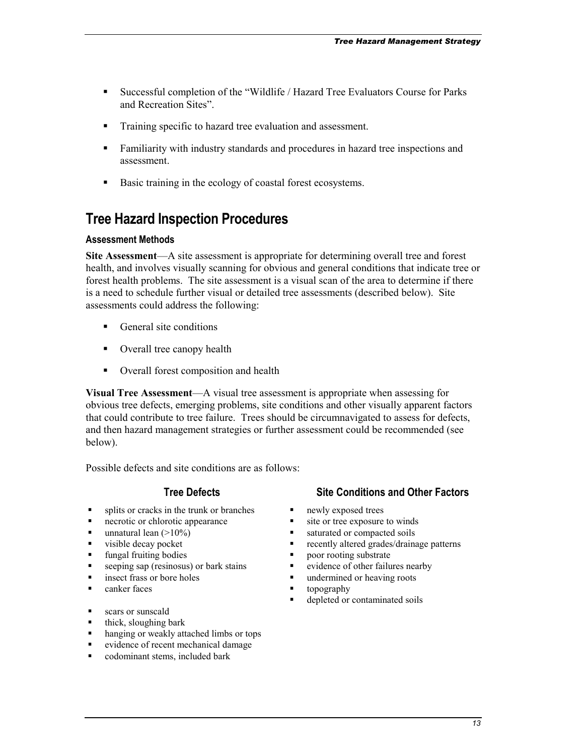- <span id="page-12-0"></span>- Successful completion of the "Wildlife / Hazard Tree Evaluators Course for Parks and Recreation Sites".
- Training specific to hazard tree evaluation and assessment.
- - Familiarity with industry standards and procedures in hazard tree inspections and assessment.
- -Basic training in the ecology of coastal forest ecosystems.

## **Tree Hazard Inspection Procedures**

### **Assessment Methods**

**Site Assessment**—A site assessment is appropriate for determining overall tree and forest health, and involves visually scanning for obvious and general conditions that indicate tree or forest health problems. The site assessment is a visual scan of the area to determine if there is a need to schedule further visual or detailed tree assessments (described below). Site assessments could address the following:

- **-** General site conditions
- Overall tree canopy health
- Overall forest composition and health

**Visual Tree Assessment**—A visual tree assessment is appropriate when assessing for obvious tree defects, emerging problems, site conditions and other visually apparent factors that could contribute to tree failure. Trees should be circumnavigated to assess for defects, and then hazard management strategies or further assessment could be recommended (see below).

Possible defects and site conditions are as follows:

- splits or cracks in the trunk or branches  $\blacksquare$
- necrotic or chlorotic appearance  $\blacksquare$
- unnatural lean  $(>10\%)$
- visible decay pocket  $\blacksquare$
- fungal fruiting bodies  $\blacksquare$
- seeping sap (resinosus) or bark stains  $\blacksquare$
- insect frass or bore holes
- canker faces
- scars or sunscald
- $\blacksquare$  thick, sloughing bark
- hanging or weakly attached limbs or tops
- evidence of recent mechanical damage
- codominant stems, included bark

## **Tree Defects** Site Conditions and Other Factors

- newly exposed trees
- site or tree exposure to winds
- saturated or compacted soils
- recently altered grades/drainage patterns
- poor rooting substrate
- evidence of other failures nearby
- undermined or heaving roots
- topography
- depleted or contaminated soils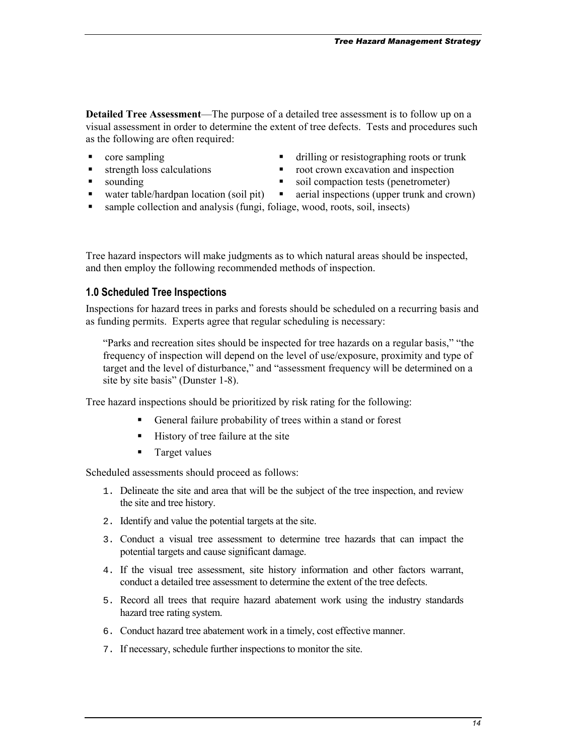**Detailed Tree Assessment**—The purpose of a detailed tree assessment is to follow up on a visual assessment in order to determine the extent of tree defects. Tests and procedures such as the following are often required:

- core sampling  $\blacksquare$
- strength loss calculations
- sounding **-**
- $\blacksquare$  water table/hardpan location (soil pit)  $\blacksquare$
- drilling or resistographing roots or trunk
- root crown excavation and inspection
	- soil compaction tests (penetrometer)
	- **a** aerial inspections (upper trunk and crown)
- sample collection and analysis (fungi, foliage, wood, roots, soil, insects)

Tree hazard inspectors will make judgments as to which natural areas should be inspected, and then employ the following recommended methods of inspection.

#### **1.0 Scheduled Tree Inspections**

Inspections for hazard trees in parks and forests should be scheduled on a recurring basis and as funding permits. Experts agree that regular scheduling is necessary:

"Parks and recreation sites should be inspected for tree hazards on a regular basis," "the frequency of inspection will depend on the level of use/exposure, proximity and type of target and the level of disturbance," and "assessment frequency will be determined on a site by site basis" (Dunster 1-8).

Tree hazard inspections should be prioritized by risk rating for the following:

- -General failure probability of trees within a stand or forest
- History of tree failure at the site
- **Target values**

Scheduled assessments should proceed as follows:

- 1. Delineate the site and area that will be the subject of the tree inspection, and review the site and tree history.
- 2. Identify and value the potential targets at the site.
- 3. Conduct a visual tree assessment to determine tree hazards that can impact the potential targets and cause significant damage.
- 4. If the visual tree assessment, site history information and other factors warrant, conduct a detailed tree assessment to determine the extent of the tree defects.
- 5. Record all trees that require hazard abatement work using the industry standards hazard tree rating system.
- 6. Conduct hazard tree abatement work in a timely, cost effective manner.
- 7. If necessary, schedule further inspections to monitor the site.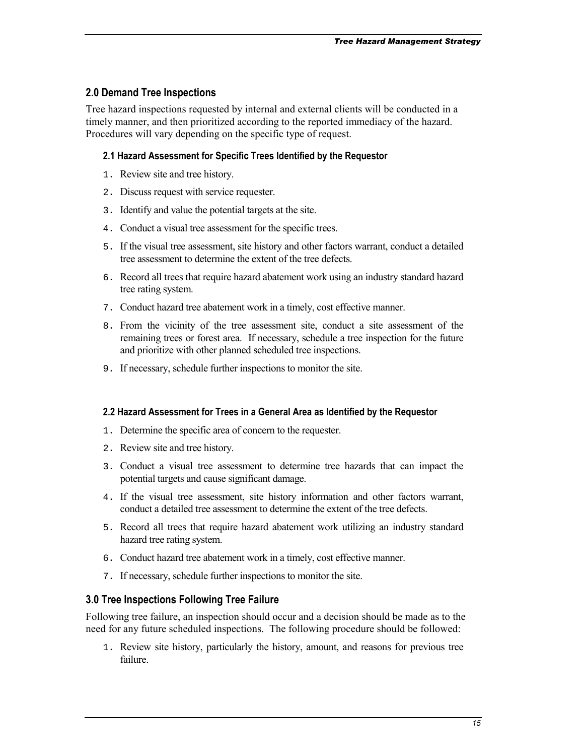## **2.0 Demand Tree Inspections**

Tree hazard inspections requested by internal and external clients will be conducted in a timely manner, and then prioritized according to the reported immediacy of the hazard. Procedures will vary depending on the specific type of request.

### **2.1 Hazard Assessment for Specific Trees Identified by the Requestor**

- 1. Review site and tree history.
- 2. Discuss request with service requester.
- 3. Identify and value the potential targets at the site.
- 4. Conduct a visual tree assessment for the specific trees.
- 5. If the visual tree assessment, site history and other factors warrant, conduct a detailed tree assessment to determine the extent of the tree defects.
- 6. Record all trees that require hazard abatement work using an industry standard hazard tree rating system.
- 7. Conduct hazard tree abatement work in a timely, cost effective manner.
- 8. From the vicinity of the tree assessment site, conduct a site assessment of the remaining trees or forest area. If necessary, schedule a tree inspection for the future and prioritize with other planned scheduled tree inspections.
- 9. If necessary, schedule further inspections to monitor the site.

#### **2.2 Hazard Assessment for Trees in a General Area as Identified by the Requestor**

- 1. Determine the specific area of concern to the requester.
- 2. Review site and tree history.
- 3. Conduct a visual tree assessment to determine tree hazards that can impact the potential targets and cause significant damage.
- 4. If the visual tree assessment, site history information and other factors warrant, conduct a detailed tree assessment to determine the extent of the tree defects.
- 5. Record all trees that require hazard abatement work utilizing an industry standard hazard tree rating system.
- 6. Conduct hazard tree abatement work in a timely, cost effective manner.
- 7. If necessary, schedule further inspections to monitor the site.

## **3.0 Tree Inspections Following Tree Failure**

Following tree failure, an inspection should occur and a decision should be made as to the need for any future scheduled inspections. The following procedure should be followed:

1. Review site history, particularly the history, amount, and reasons for previous tree failure.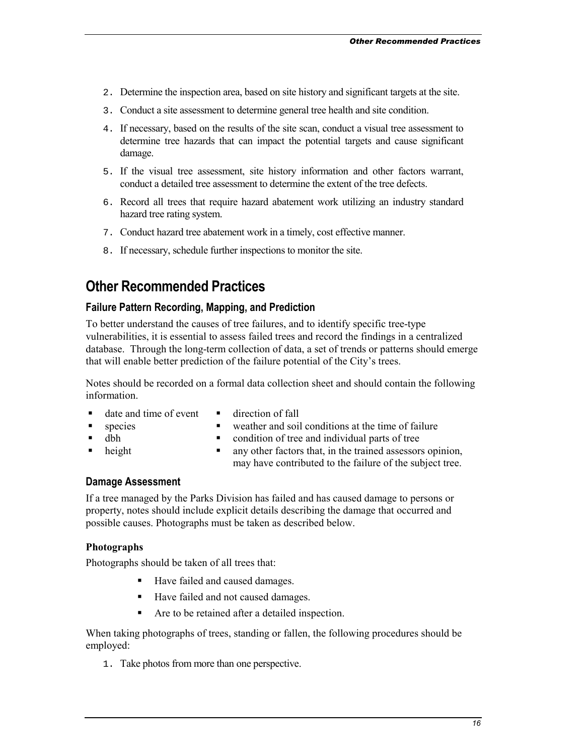- <span id="page-15-0"></span>2. Determine the inspection area, based on site history and significant targets at the site.
- 3. Conduct a site assessment to determine general tree health and site condition.
- 4. If necessary, based on the results of the site scan, conduct a visual tree assessment to determine tree hazards that can impact the potential targets and cause significant damage.
- 5. If the visual tree assessment, site history information and other factors warrant, conduct a detailed tree assessment to determine the extent of the tree defects.
- 6. Record all trees that require hazard abatement work utilizing an industry standard hazard tree rating system.
- 7. Conduct hazard tree abatement work in a timely, cost effective manner.
- 8. If necessary, schedule further inspections to monitor the site.

## **Other Recommended Practices**

### **Failure Pattern Recording, Mapping, and Prediction**

To better understand the causes of tree failures, and to identify specific tree-type vulnerabilities, it is essential to assess failed trees and record the findings in a centralized database. Through the long-term collection of data, a set of trends or patterns should emerge that will enable better prediction of the failure potential of the City's trees.

Notes should be recorded on a formal data collection sheet and should contain the following information.

- date and time of event
- direction of fall
- weather and soil conditions at the time of failure
- dbh -

species

-

- condition of tree and individual parts of tree
- $height$
- any other factors that, in the trained assessors opinion,
	- may have contributed to the failure of the subject tree.

#### **Damage Assessment**

If a tree managed by the Parks Division has failed and has caused damage to persons or property, notes should include explicit details describing the damage that occurred and possible causes. Photographs must be taken as described below.

#### **Photographs**

Photographs should be taken of all trees that:

- -Have failed and caused damages.
- Have failed and not caused damages.
- $\blacksquare$ Are to be retained after a detailed inspection.

When taking photographs of trees, standing or fallen, the following procedures should be employed:

1. Take photos from more than one perspective.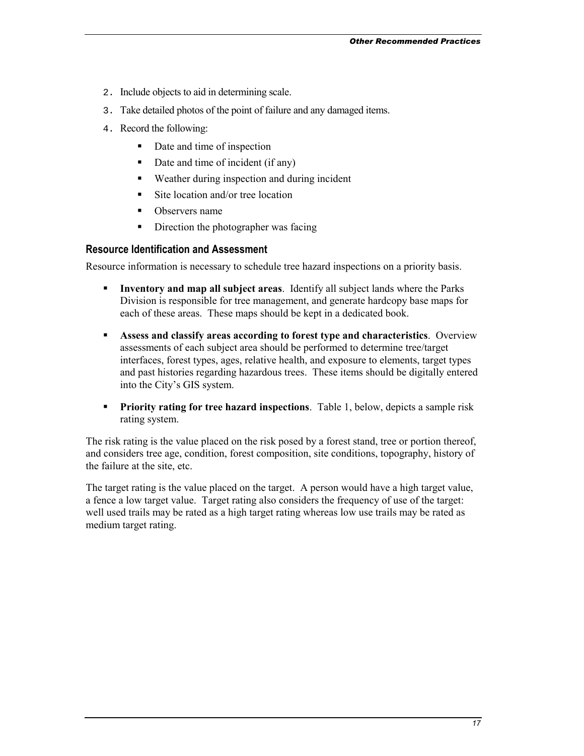- 2. Include objects to aid in determining scale.
- 3. Take detailed photos of the point of failure and any damaged items.
- 4. Record the following:
	- -Date and time of inspection
	- Date and time of incident (if any)
	- -Weather during inspection and during incident
	- -Site location and/or tree location
	- -Observers name
	- -Direction the photographer was facing

### **Resource Identification and Assessment**

Resource information is necessary to schedule tree hazard inspections on a priority basis.

- - **Inventory and map all subject areas**. Identify all subject lands where the Parks Division is responsible for tree management, and generate hardcopy base maps for each of these areas. These maps should be kept in a dedicated book.
- **Assess and classify areas according to forest type and characteristics**. Overview assessments of each subject area should be performed to determine tree/target interfaces, forest types, ages, relative health, and exposure to elements, target types and past histories regarding hazardous trees. These items should be digitally entered into the City's GIS system.
- **Priority rating for tree hazard inspections**. Table 1, below, depicts a sample risk rating system.

The risk rating is the value placed on the risk posed by a forest stand, tree or portion thereof, and considers tree age, condition, forest composition, site conditions, topography, history of the failure at the site, etc.

The target rating is the value placed on the target. A person would have a high target value, a fence a low target value. Target rating also considers the frequency of use of the target: well used trails may be rated as a high target rating whereas low use trails may be rated as medium target rating.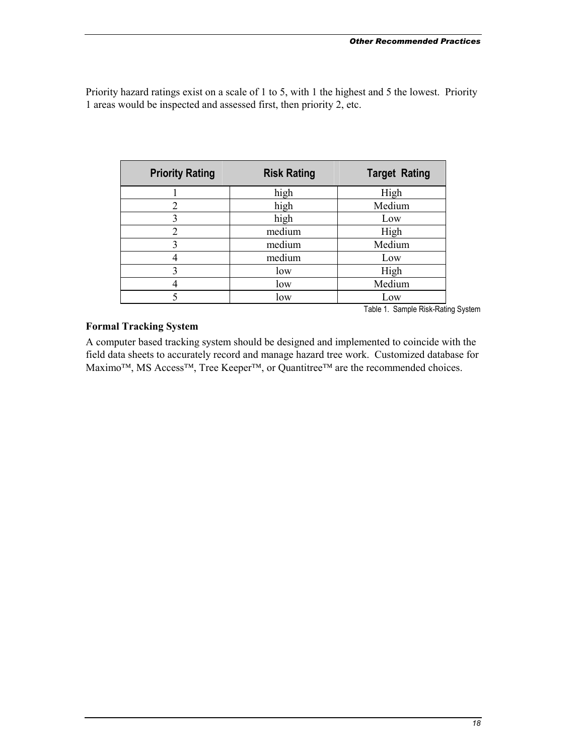Priority hazard ratings exist on a scale of 1 to 5, with 1 the highest and 5 the lowest. Priority 1 areas would be inspected and assessed first, then priority 2, etc.

| <b>Priority Rating</b> | <b>Risk Rating</b> | <b>Target Rating</b> |
|------------------------|--------------------|----------------------|
|                        | high               | High                 |
| 2                      | high               | Medium               |
| 3                      | high               | Low                  |
| 2                      | medium             | High                 |
| 3                      | medium             | Medium               |
|                        | medium             | Low                  |
| 3                      | low                | High                 |
|                        | low                | Medium               |
|                        | low                | Low                  |

Table 1. Sample Risk-Rating System

#### **Formal Tracking System**

A computer based tracking system should be designed and implemented to coincide with the field data sheets to accurately record and manage hazard tree work. Customized database for  $Maximo<sup>TM</sup>$ , MS Access<sup>TM</sup>, Tree Keeper<sup>TM</sup>, or Quantitree<sup>TM</sup> are the recommended choices.